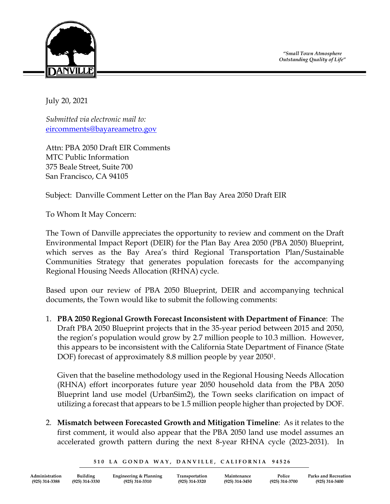*"Small Town Atmosphere Outstanding Quality of Life"*



July 20, 2021

*Submitted via electronic mail to:* [eircomments@bayareametro.gov](mailto:eircomments@bayareametro.gov)

Attn: PBA 2050 Draft EIR Comments MTC Public Information 375 Beale Street, Suite 700 San Francisco, CA 94105

Subject: Danville Comment Letter on the Plan Bay Area 2050 Draft EIR

To Whom It May Concern:

The Town of Danville appreciates the opportunity to review and comment on the Draft Environmental Impact Report (DEIR) for the Plan Bay Area 2050 (PBA 2050) Blueprint, which serves as the Bay Area's third Regional Transportation Plan/Sustainable Communities Strategy that generates population forecasts for the accompanying Regional Housing Needs Allocation (RHNA) cycle.

Based upon our review of PBA 2050 Blueprint, DEIR and accompanying technical documents, the Town would like to submit the following comments:

1. **PBA 2050 Regional Growth Forecast Inconsistent with Department of Finance**: The Draft PBA 2050 Blueprint projects that in the 35-year period between 2015 and 2050, the region's population would grow by 2.7 million people to 10.3 million. However, this appears to be inconsistent with the California State Department of Finance (State DOF) forecast of approximately 8.8 million people by year 2050<sup>1</sup>.

Given that the baseline methodology used in the Regional Housing Needs Allocation (RHNA) effort incorporates future year 2050 household data from the PBA 2050 Blueprint land use model (UrbanSim2), the Town seeks clarification on impact of utilizing a forecast that appears to be 1.5 million people higher than projected by DOF.

2. **Mismatch between Forecasted Growth and Mitigation Timeline**: As it relates to the first comment, it would also appear that the PBA 2050 land use model assumes an accelerated growth pattern during the next 8-year RHNA cycle (2023-2031). In

510 LA GONDA WAY, DANVILLE, CALIFORNIA 94526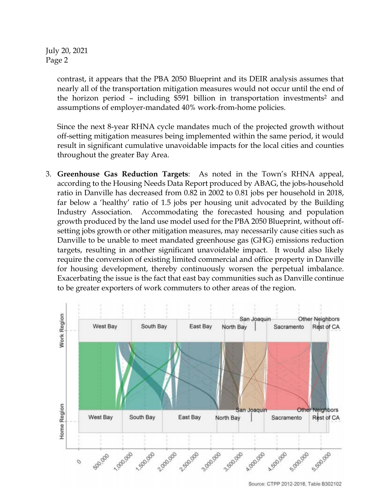July 20, 2021 Page 2

> contrast, it appears that the PBA 2050 Blueprint and its DEIR analysis assumes that nearly all of the transportation mitigation measures would not occur until the end of the horizon period - including \$591 billion in transportation investments<sup>2</sup> and assumptions of employer-mandated 40% work-from-home policies.

> Since the next 8-year RHNA cycle mandates much of the projected growth without off-setting mitigation measures being implemented within the same period, it would result in significant cumulative unavoidable impacts for the local cities and counties throughout the greater Bay Area.

3. **Greenhouse Gas Reduction Targets**: As noted in the Town's RHNA appeal, according to the Housing Needs Data Report produced by ABAG, the jobs-household ratio in Danville has decreased from 0.82 in 2002 to 0.81 jobs per household in 2018, far below a 'healthy' ratio of 1.5 jobs per housing unit advocated by the Building Industry Association. Accommodating the forecasted housing and population growth produced by the land use model used for the PBA 2050 Blueprint, without offsetting jobs growth or other mitigation measures, may necessarily cause cities such as Danville to be unable to meet mandated greenhouse gas (GHG) emissions reduction targets, resulting in another significant unavoidable impact. It would also likely require the conversion of existing limited commercial and office property in Danville for housing development, thereby continuously worsen the perpetual imbalance. Exacerbating the issue is the fact that east bay communities such as Danville continue to be greater exporters of work commuters to other areas of the region.

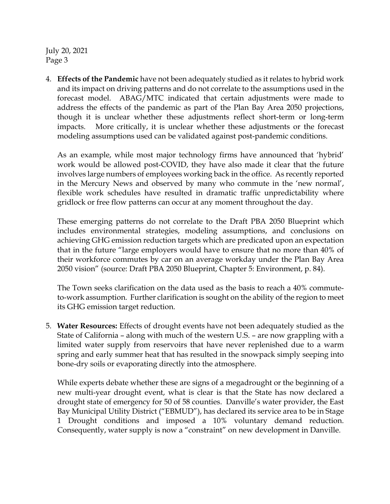July 20, 2021 Page 3

4. **Effects of the Pandemic** have not been adequately studied as it relates to hybrid work and its impact on driving patterns and do not correlate to the assumptions used in the forecast model. ABAG/MTC indicated that certain adjustments were made to address the effects of the pandemic as part of the Plan Bay Area 2050 projections, though it is unclear whether these adjustments reflect short-term or long-term impacts. More critically, it is unclear whether these adjustments or the forecast modeling assumptions used can be validated against post-pandemic conditions.

As an example, while most major technology firms have announced that 'hybrid' work would be allowed post-COVID, they have also made it clear that the future involves large numbers of employees working back in the office. As recently reported in the Mercury News and observed by many who commute in the 'new normal', flexible work schedules have resulted in dramatic traffic unpredictability where gridlock or free flow patterns can occur at any moment throughout the day.

These emerging patterns do not correlate to the Draft PBA 2050 Blueprint which includes environmental strategies, modeling assumptions, and conclusions on achieving GHG emission reduction targets which are predicated upon an expectation that in the future "large employers would have to ensure that no more than 40% of their workforce commutes by car on an average workday under the Plan Bay Area 2050 vision" (source: Draft PBA 2050 Blueprint, Chapter 5: Environment, p. 84).

The Town seeks clarification on the data used as the basis to reach a 40% commuteto-work assumption. Further clarification is sought on the ability of the region to meet its GHG emission target reduction.

5. **Water Resources:** Effects of drought events have not been adequately studied as the State of California – along with much of the western U.S. – are now grappling with a limited water supply from reservoirs that have never replenished due to a warm spring and early summer heat that has resulted in the snowpack simply seeping into bone-dry soils or evaporating directly into the atmosphere.

While experts debate whether these are signs of a megadrought or the beginning of a new multi-year drought event, what is clear is that the State has now declared a drought state of emergency for 50 of 58 counties. Danville's water provider, the East Bay Municipal Utility District ("EBMUD"), has declared its service area to be in Stage 1 Drought conditions and imposed a 10% voluntary demand reduction. Consequently, water supply is now a "constraint" on new development in Danville.